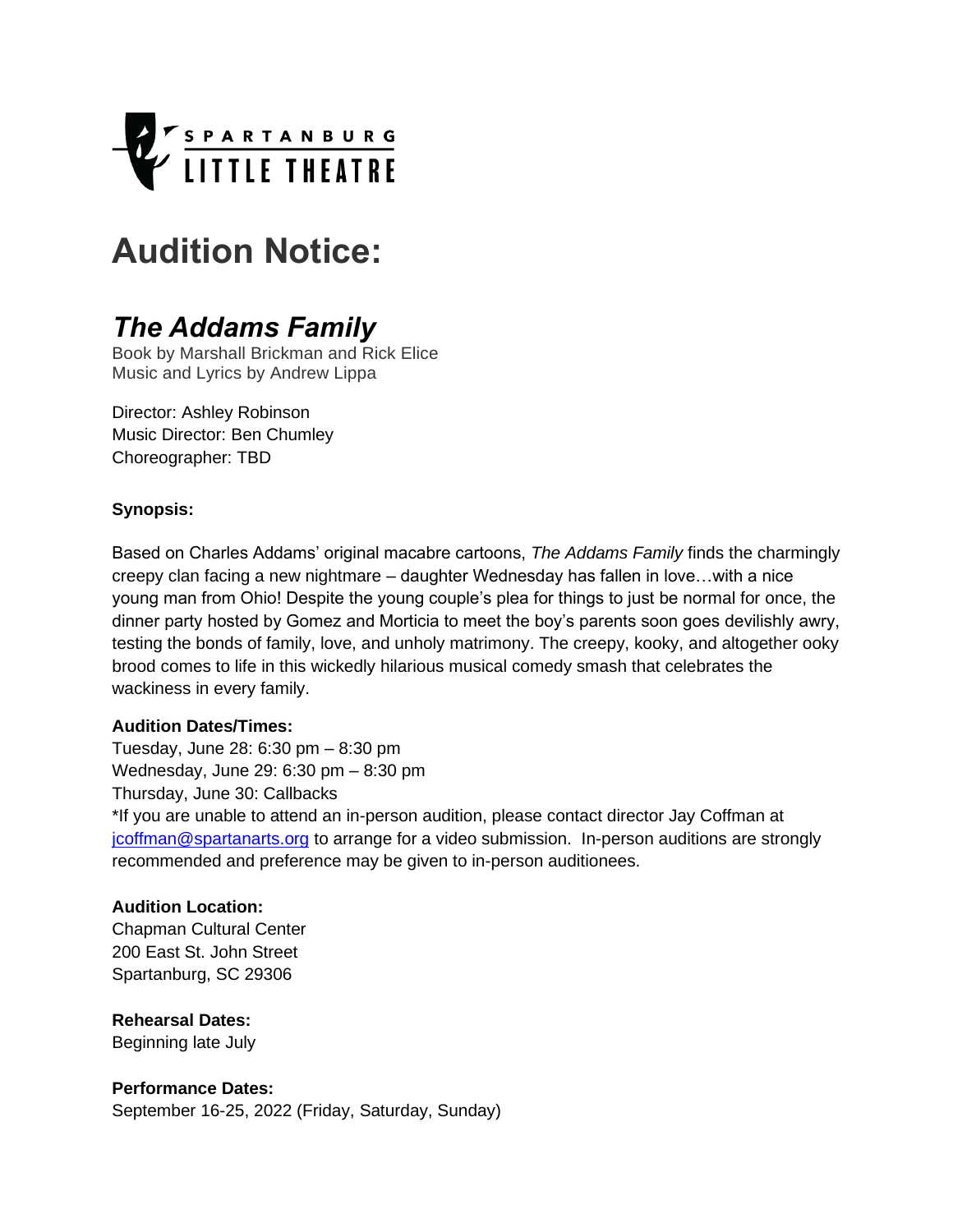

# **Audition Notice:**

# *The Addams Family*

Book by Marshall Brickman and Rick Elice Music and Lyrics by Andrew Lippa

Director: Ashley Robinson Music Director: Ben Chumley Choreographer: TBD

#### **Synopsis:**

Based on Charles Addams' original macabre cartoons, *The Addams Family* finds the charmingly creepy clan facing a new nightmare – daughter Wednesday has fallen in love…with a nice young man from Ohio! Despite the young couple's plea for things to just be normal for once, the dinner party hosted by Gomez and Morticia to meet the boy's parents soon goes devilishly awry, testing the bonds of family, love, and unholy matrimony. The creepy, kooky, and altogether ooky brood comes to life in this wickedly hilarious musical comedy smash that celebrates the wackiness in every family.

#### **Audition Dates/Times:**

Tuesday, June 28: 6:30 pm – 8:30 pm Wednesday, June 29: 6:30 pm – 8:30 pm Thursday, June 30: Callbacks \*If you are unable to attend an in-person audition, please contact director Jay Coffman at [jcoffman@spartanarts.org](mailto:jcoffman@spartanarts.org) to arrange for a video submission. In-person auditions are strongly recommended and preference may be given to in-person auditionees.

#### **Audition Location:**

[Chapman](https://dfwauditions.com/venues/campus-theatre/) Cultural Center 200 East St. John Street Spartanburg, SC 29306

#### **Rehearsal Dates:**

Beginning late July

#### **Performance Dates:**

September 16-25, 2022 (Friday, Saturday, Sunday)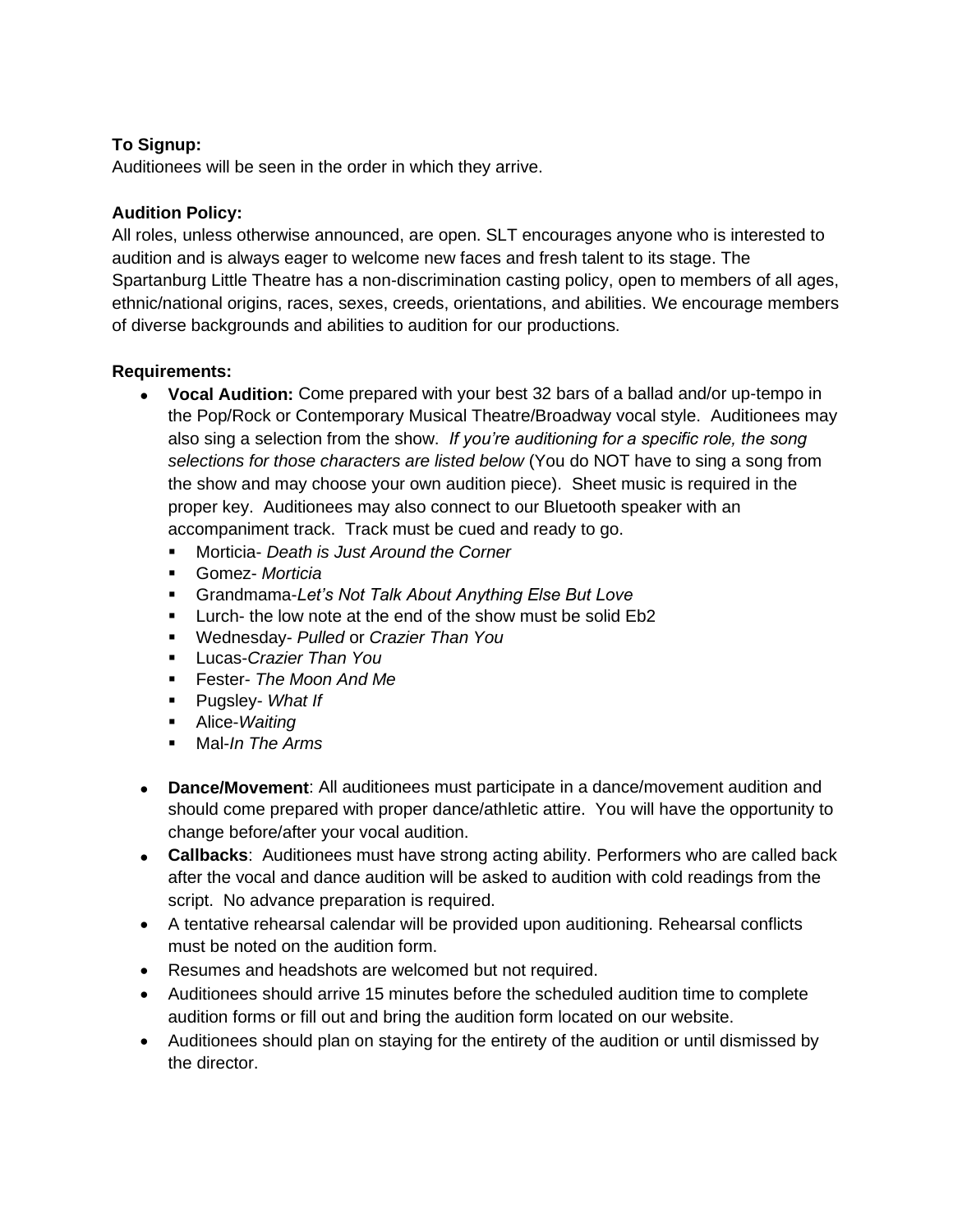# **To Signup:**

Auditionees will be seen in the order in which they arrive.

## **Audition Policy:**

All roles, unless otherwise announced, are open. SLT encourages anyone who is interested to audition and is always eager to welcome new faces and fresh talent to its stage. The Spartanburg Little Theatre has a non-discrimination casting policy, open to members of all ages, ethnic/national origins, races, sexes, creeds, orientations, and abilities. We encourage members of diverse backgrounds and abilities to audition for our productions.

## **Requirements:**

- **Vocal Audition:** Come prepared with your best 32 bars of a ballad and/or up-tempo in the Pop/Rock or Contemporary Musical Theatre/Broadway vocal style. Auditionees may also sing a selection from the show. *If you're auditioning for a specific role, the song selections for those characters are listed below* (You do NOT have to sing a song from the show and may choose your own audition piece). Sheet music is required in the proper key. Auditionees may also connect to our Bluetooth speaker with an accompaniment track. Track must be cued and ready to go.
	- Morticia- *Death is Just Around the Corner*
	- Gomez- *Morticia*
	- Grandmama-*Let's Not Talk About Anything Else But Love*
	- **EXECO 1** Lurch- the low note at the end of the show must be solid Eb2
	- Wednesday- *Pulled* or *Crazier Than You*
	- Lucas-*Crazier Than You*
	- Fester- *The Moon And Me*
	- Pugsley- *What If*
	- Alice-*Waiting*
	- Mal-*In The Arms*
- **Dance/Movement**: All auditionees must participate in a dance/movement audition and should come prepared with proper dance/athletic attire. You will have the opportunity to change before/after your vocal audition.
- **Callbacks**: Auditionees must have strong acting ability. Performers who are called back after the vocal and dance audition will be asked to audition with cold readings from the script. No advance preparation is required.
- A tentative rehearsal calendar will be provided upon auditioning. Rehearsal conflicts must be noted on the audition form.
- Resumes and headshots are welcomed but not required.
- Auditionees should arrive 15 minutes before the scheduled audition time to complete audition forms or fill out and bring the audition form located on our website.
- Auditionees should plan on staying for the entirety of the audition or until dismissed by the director.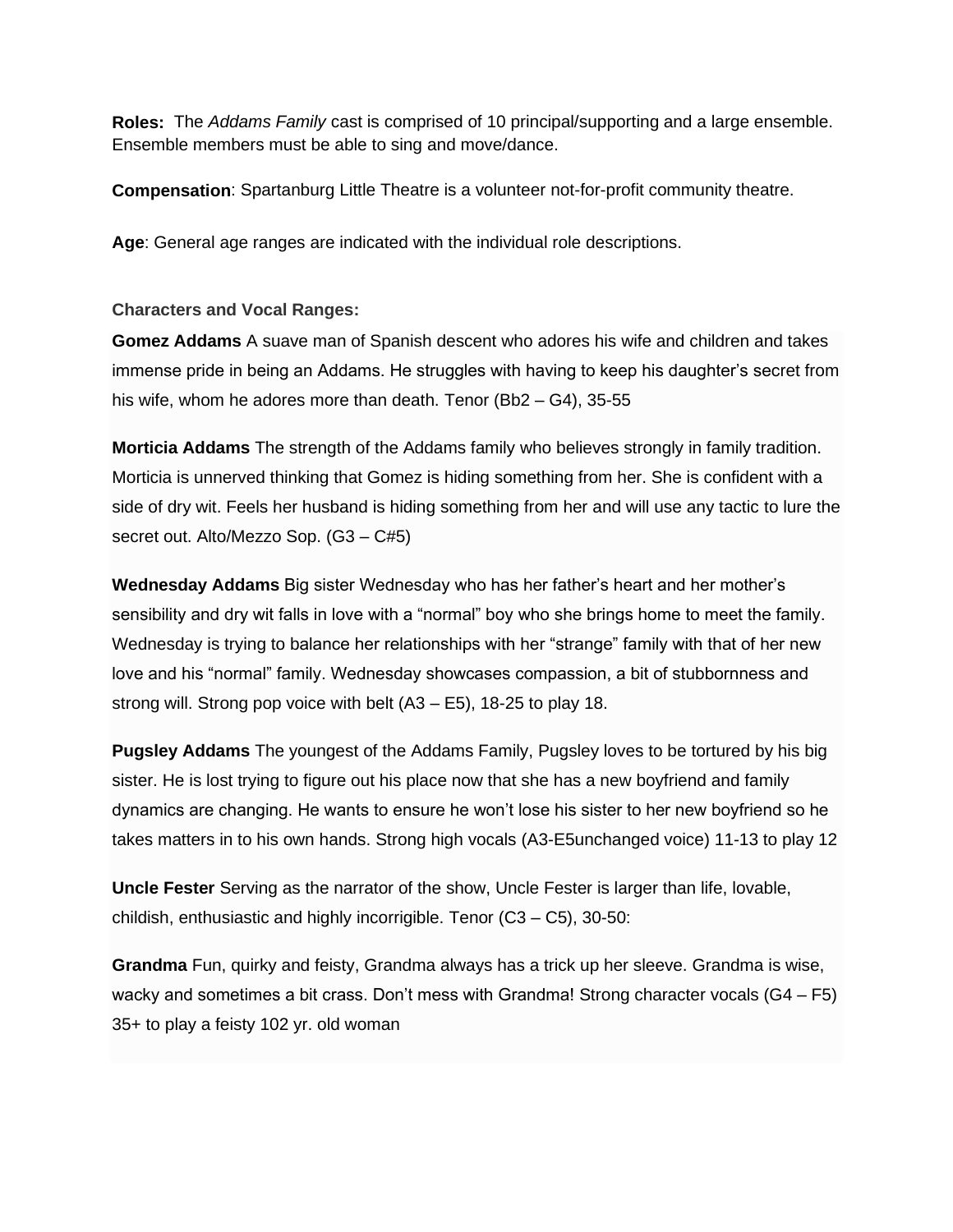**Roles:** The *Addams Family* cast is comprised of 10 principal/supporting and a large ensemble. Ensemble members must be able to sing and move/dance.

**Compensation**: Spartanburg Little Theatre is a volunteer not-for-profit community theatre.

**Age**: General age ranges are indicated with the individual role descriptions.

**Characters and Vocal Ranges:**

**Gomez Addams** A suave man of Spanish descent who adores his wife and children and takes immense pride in being an Addams. He struggles with having to keep his daughter's secret from his wife, whom he adores more than death. Tenor (Bb2 – G4), 35-55

**Morticia Addams** The strength of the Addams family who believes strongly in family tradition. Morticia is unnerved thinking that Gomez is hiding something from her. She is confident with a side of dry wit. Feels her husband is hiding something from her and will use any tactic to lure the secret out. Alto/Mezzo Sop. (G3 – C#5)

**Wednesday Addams** Big sister Wednesday who has her father's heart and her mother's sensibility and dry wit falls in love with a "normal" boy who she brings home to meet the family. Wednesday is trying to balance her relationships with her "strange" family with that of her new love and his "normal" family. Wednesday showcases compassion, a bit of stubbornness and strong will. Strong pop voice with belt (A3 – E5), 18-25 to play 18.

**Pugsley Addams** The youngest of the Addams Family, Pugsley loves to be tortured by his big sister. He is lost trying to figure out his place now that she has a new boyfriend and family dynamics are changing. He wants to ensure he won't lose his sister to her new boyfriend so he takes matters in to his own hands. Strong high vocals (A3-E5unchanged voice) 11-13 to play 12

**Uncle Fester** Serving as the narrator of the show, Uncle Fester is larger than life, lovable, childish, enthusiastic and highly incorrigible. Tenor (C3 – C5), 30-50:

**Grandma** Fun, quirky and feisty, Grandma always has a trick up her sleeve. Grandma is wise, wacky and sometimes a bit crass. Don't mess with Grandma! Strong character vocals (G4 – F5) 35+ to play a feisty 102 yr. old woman